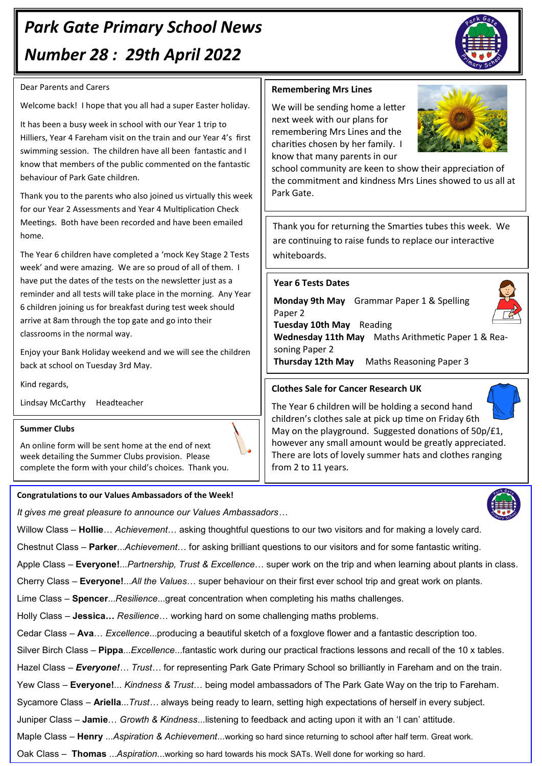# *Park Gate Primary School News Number 28 : 29th April 2022*

## Dear Parents and Carers

Welcome back! I hope that you all had a super Easter holiday.

It has been a busy week in school with our Year 1 trip to Hilliers, Year 4 Fareham visit on the train and our Year 4's first swimming session. The children have all been fantastic and I know that members of the public commented on the fantastic behaviour of Park Gate children.

Thank you to the parents who also joined us virtually this week for our Year 2 Assessments and Year 4 Multiplication Check Meetings. Both have been recorded and have been emailed home.

The Year 6 children have completed a 'mock Key Stage 2 Tests week' and were amazing. We are so proud of all of them. I have put the dates of the tests on the newsletter just as a reminder and all tests will take place in the morning. Any Year 6 children joining us for breakfast during test week should arrive at 8am through the top gate and go into their classrooms in the normal way.

Enjoy your Bank Holiday weekend and we will see the children back at school on Tuesday 3rd May.

Kind regards,

Lindsay McCarthy Headteacher

#### **Summer Clubs**

An online form will be sent home at the end of next week detailing the Summer Clubs provision. Please complete the form with your child's choices. Thank you.

#### **Congratulations to our Values Ambassadors of the Week!**

*It gives me great pleasure to announce our Values Ambassadors…*

Willow Class – **Hollie**… *Achievement*… asking thoughtful questions to our two visitors and for making a lovely card.

Chestnut Class – **Parker**...*Achievement*… for asking brilliant questions to our visitors and for some fantastic writing.

Apple Class – **Everyone!**...*Partnership, Trust & Excellence*… super work on the trip and when learning about plants in class.

Cherry Class – **Everyone!**...*All the Values*… super behaviour on their first ever school trip and great work on plants.

Lime Class – **Spencer**...*Resilience*...great concentration when completing his maths challenges.

Holly Class – **Jessica…** *Resilience*… working hard on some challenging maths problems.

Cedar Class – **Ava**… *Excellence*...producing a beautiful sketch of a foxglove flower and a fantastic description too.

Silver Birch Class – **Pippa**...*Excellence*...fantastic work during our practical fractions lessons and recall of the 10 x tables.

Hazel Class *– Everyone!… Trust…* for representing Park Gate Primary School so brilliantly in Fareham and on the train.

Yew Class – **Everyone!**... *Kindness & Trust*… being model ambassadors of The Park Gate Way on the trip to Fareham.

Sycamore Class – **Ariella**...*Trust…* always being ready to learn, setting high expectations of herself in every subject.

Juniper Class – **Jamie**… *Growth & Kindness*...listening to feedback and acting upon it with an 'I can' attitude.

Maple Class – **Henry** ...*Aspiration & Achievement*...working so hard since returning to school after half term. Great work.

Oak Class – **Thomas** ...*Aspiration*...working so hard towards his mock SATs. Well done for working so hard.



We will be sending home a letter next week with our plans for remembering Mrs Lines and the charities chosen by her family. I know that many parents in our

school community are keen to show their appreciation of the commitment and kindness Mrs Lines showed to us all at Park Gate.

Thank you for returning the Smarties tubes this week. We are continuing to raise funds to replace our interactive whiteboards.

### **Year 6 Tests Dates**

**Monday 9th May** Grammar Paper 1 & Spelling Paper 2



**Wednesday 11th May** Maths Arithmetic Paper 1 & Reasoning Paper 2

**Thursday 12th May** Maths Reasoning Paper 3

#### **Clothes Sale for Cancer Research UK**

The Year 6 children will be holding a second hand children's clothes sale at pick up time on Friday 6th May on the playground. Suggested donations of 50p/£1, however any small amount would be greatly appreciated. There are lots of lovely summer hats and clothes ranging from 2 to 11 years.